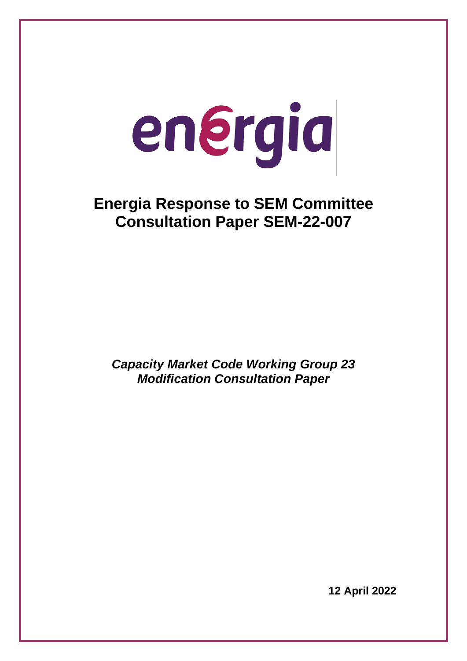# energia

# **Energia Response to SEM Committee Consultation Paper SEM-22-007**

*Capacity Market Code Working Group 23 Modification Consultation Paper*

**12 April 2022**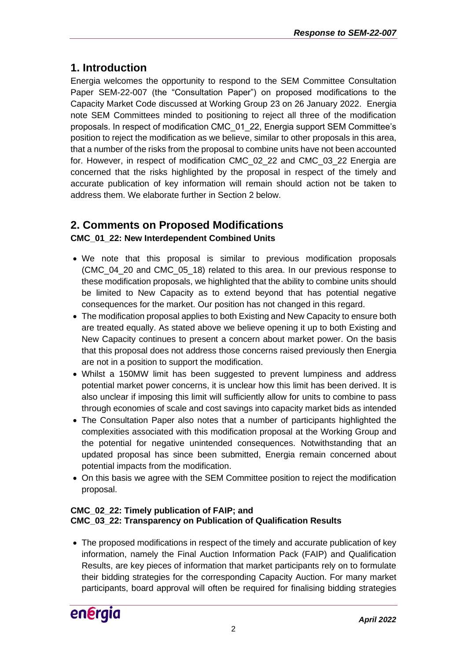### **1. Introduction**

Energia welcomes the opportunity to respond to the SEM Committee Consultation Paper SEM-22-007 (the "Consultation Paper") on proposed modifications to the Capacity Market Code discussed at Working Group 23 on 26 January 2022. Energia note SEM Committees minded to positioning to reject all three of the modification proposals. In respect of modification CMC\_01\_22, Energia support SEM Committee's position to reject the modification as we believe, similar to other proposals in this area, that a number of the risks from the proposal to combine units have not been accounted for. However, in respect of modification CMC\_02\_22 and CMC\_03\_22 Energia are concerned that the risks highlighted by the proposal in respect of the timely and accurate publication of key information will remain should action not be taken to address them. We elaborate further in Section 2 below.

## **2. Comments on Proposed Modifications**

#### **CMC\_01\_22: New Interdependent Combined Units**

- We note that this proposal is similar to previous modification proposals (CMC\_04\_20 and CMC\_05\_18) related to this area. In our previous response to these modification proposals, we highlighted that the ability to combine units should be limited to New Capacity as to extend beyond that has potential negative consequences for the market. Our position has not changed in this regard.
- The modification proposal applies to both Existing and New Capacity to ensure both are treated equally. As stated above we believe opening it up to both Existing and New Capacity continues to present a concern about market power. On the basis that this proposal does not address those concerns raised previously then Energia are not in a position to support the modification.
- Whilst a 150MW limit has been suggested to prevent lumpiness and address potential market power concerns, it is unclear how this limit has been derived. It is also unclear if imposing this limit will sufficiently allow for units to combine to pass through economies of scale and cost savings into capacity market bids as intended
- The Consultation Paper also notes that a number of participants highlighted the complexities associated with this modification proposal at the Working Group and the potential for negative unintended consequences. Notwithstanding that an updated proposal has since been submitted, Energia remain concerned about potential impacts from the modification.
- On this basis we agree with the SEM Committee position to reject the modification proposal.

#### **CMC\_02\_22: Timely publication of FAIP; and CMC\_03\_22: Transparency on Publication of Qualification Results**

• The proposed modifications in respect of the timely and accurate publication of key information, namely the Final Auction Information Pack (FAIP) and Qualification Results, are key pieces of information that market participants rely on to formulate their bidding strategies for the corresponding Capacity Auction. For many market participants, board approval will often be required for finalising bidding strategies